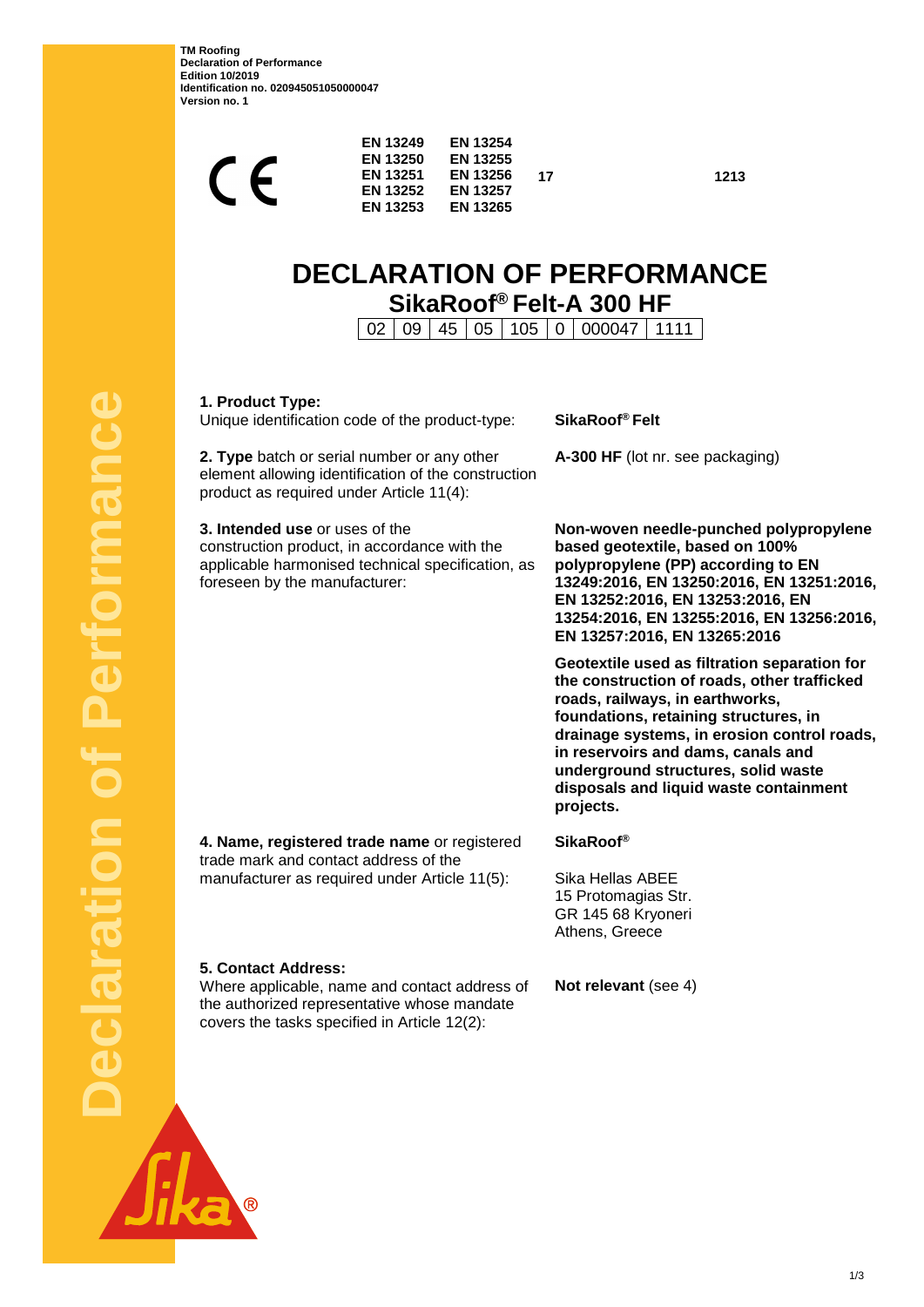**TM Roofing Declaration of Performance Edition 10/2019 Identification no. 020945051050000047 Version no. 1**

| <b>EN 13249</b><br><b>EN 13250</b><br><b>EN 13251</b><br><b>EN 13252</b><br><b>EN 13253</b> | <b>EN 13254</b><br><b>EN 13255</b><br><b>EN 13256</b><br><b>EN 13257</b><br><b>EN 13265</b> | 17 |  |
|---------------------------------------------------------------------------------------------|---------------------------------------------------------------------------------------------|----|--|
|                                                                                             |                                                                                             |    |  |

**17 1213**

# **DECLARATION OF PERFORMANCE SikaRoof® Felt-A 300 HF**

02 09 45 05 105 0 000047 1111

**1. Product Type:**

**5. Contact Address:**

Unique identification code of the product-type: **SikaRoof® Felt**

**2. Type** batch or serial number or any other element allowing identification of the construction product as required under Article 11(4):

**3. Intended use** or uses of the construction product, in accordance with the applicable harmonised technical specification, as foreseen by the manufacturer:

**A-300 HF** (lot nr. see packaging)

**Non-woven needle-punched polypropylene based geotextile, based on 100% polypropylene (PP) according to EN 13249:2016, EN 13250:2016, EN 13251:2016, EN 13252:2016, EN 13253:2016, EN 13254:2016, EN 13255:2016, EN 13256:2016, EN 13257:2016, EN 13265:2016**

**Geotextile used as filtration separation for the construction of roads, other trafficked roads, railways, in earthworks, foundations, retaining structures, in drainage systems, in erosion control roads, in reservoirs and dams, canals and underground structures, solid waste disposals and liquid waste containment projects.**

**4. Name, registered trade name** or registered trade mark and contact address of the manufacturer as required under Article 11(5):

the authorized representative whose mandate covers the tasks specified in Article 12(2):

**SikaRoof®**

Sika Hellas ABEE 15 Protomagias Str. GR 145 68 Kryoneri Athens, Greece

Where applicable, name and contact address of **Not relevant** (see 4)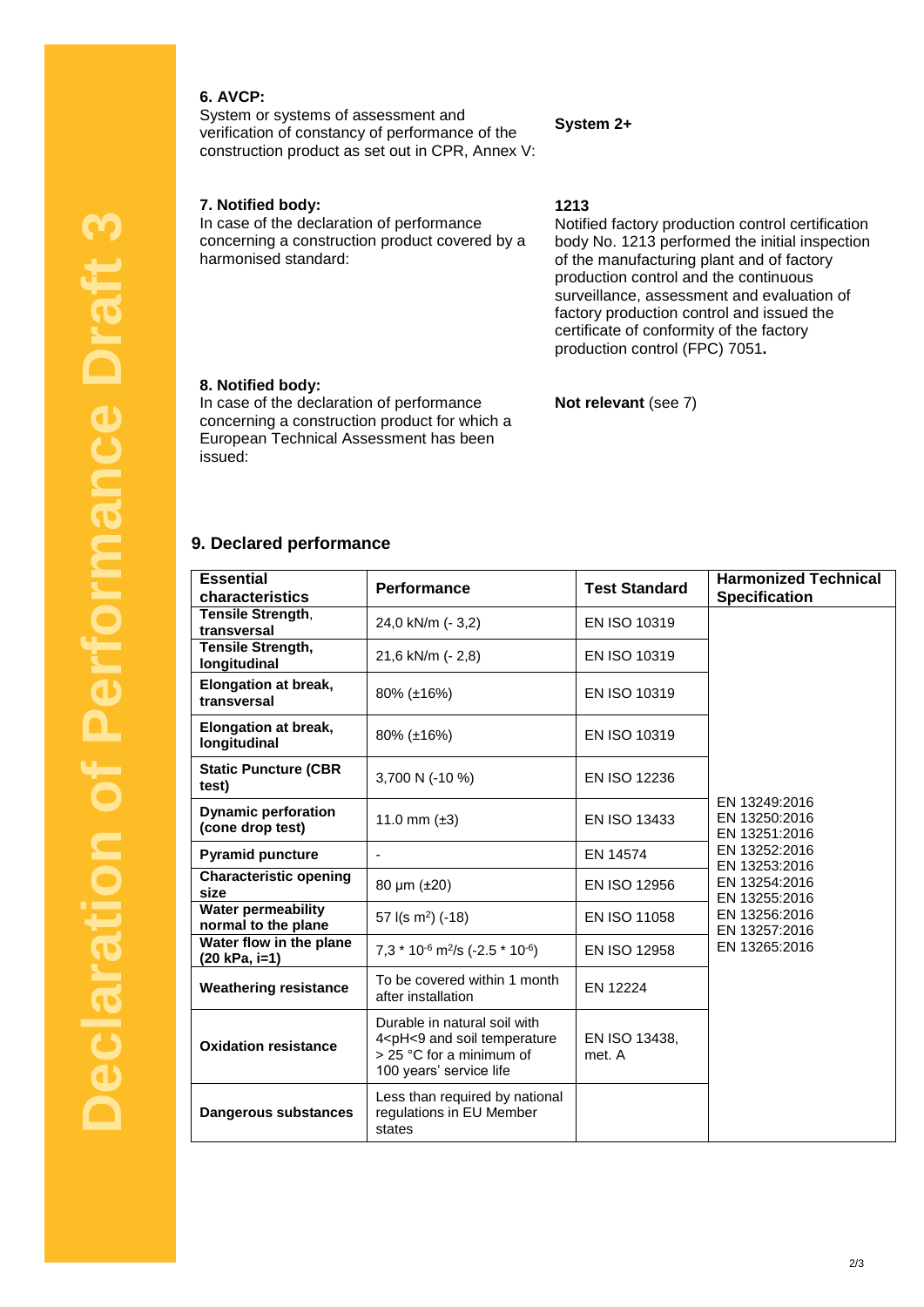## **6. AVCP:**

System or systems of assessment and verification of constancy of performance of the construction product as set out in CPR, Annex V:

#### **7. Notified body:**

In case of the declaration of performance concerning a construction product covered by a harmonised standard:

#### **System 2+**

**1213**

Notified factory production control certification body No. 1213 performed the initial inspection of the manufacturing plant and of factory production control and the continuous surveillance, assessment and evaluation of factory production control and issued the certificate of conformity of the factory production control (FPC) 7051**.**

#### **8. Notified body:**

In case of the declaration of performance concerning a construction product for which a European Technical Assessment has been issued:

## **Not relevant** (see 7)

### **9. Declared performance**

| <b>Essential</b><br>characteristics              | Performance                                                                                                                                          | <b>Test Standard</b>    | <b>Harmonized Technical</b><br><b>Specification</b>                                                                                                                    |
|--------------------------------------------------|------------------------------------------------------------------------------------------------------------------------------------------------------|-------------------------|------------------------------------------------------------------------------------------------------------------------------------------------------------------------|
| Tensile Strength,                                |                                                                                                                                                      |                         |                                                                                                                                                                        |
| transversal                                      | 24,0 kN/m (- 3,2)                                                                                                                                    | EN ISO 10319            |                                                                                                                                                                        |
| Tensile Strength,<br>longitudinal                | 21,6 kN/m (- 2,8)                                                                                                                                    | EN ISO 10319            |                                                                                                                                                                        |
| Elongation at break,<br>transversal              | 80% (±16%)                                                                                                                                           | EN ISO 10319            | EN 13249:2016<br>EN 13250:2016<br>EN 13251:2016<br>EN 13252:2016<br>EN 13253:2016<br>EN 13254:2016<br>EN 13255:2016<br>EN 13256:2016<br>EN 13257:2016<br>EN 13265:2016 |
| <b>Elongation at break,</b><br>longitudinal      | 80% (±16%)                                                                                                                                           | EN ISO 10319            |                                                                                                                                                                        |
| <b>Static Puncture (CBR</b><br>test)             | 3,700 N (-10 %)                                                                                                                                      | <b>EN ISO 12236</b>     |                                                                                                                                                                        |
| <b>Dynamic perforation</b><br>(cone drop test)   | 11.0 mm $(\pm 3)$                                                                                                                                    | EN ISO 13433            |                                                                                                                                                                        |
| <b>Pyramid puncture</b>                          |                                                                                                                                                      | EN 14574                |                                                                                                                                                                        |
| <b>Characteristic opening</b><br>size            | 80 $\mu$ m ( $\pm$ 20)                                                                                                                               | <b>EN ISO 12956</b>     |                                                                                                                                                                        |
| <b>Water permeability</b><br>normal to the plane | 57 $I(s \, m^2)$ (-18)                                                                                                                               | EN ISO 11058            |                                                                                                                                                                        |
| Water flow in the plane<br>(20 kPa, i=1)         | $7,3*10^{6}$ m <sup>2</sup> /s (-2.5 * 10 <sup>-6</sup> )                                                                                            | EN ISO 12958            |                                                                                                                                                                        |
| <b>Weathering resistance</b>                     | To be covered within 1 month<br>after installation                                                                                                   | EN 12224                |                                                                                                                                                                        |
| <b>Oxidation resistance</b>                      | Durable in natural soil with<br>4 <ph<9 and="" soil="" temperature<br=""><math>&gt;</math> 25 °C for a minimum of<br/>100 years' service life</ph<9> | EN ISO 13438,<br>met. A |                                                                                                                                                                        |
| <b>Dangerous substances</b>                      | Less than required by national<br>regulations in EU Member<br>states                                                                                 |                         |                                                                                                                                                                        |